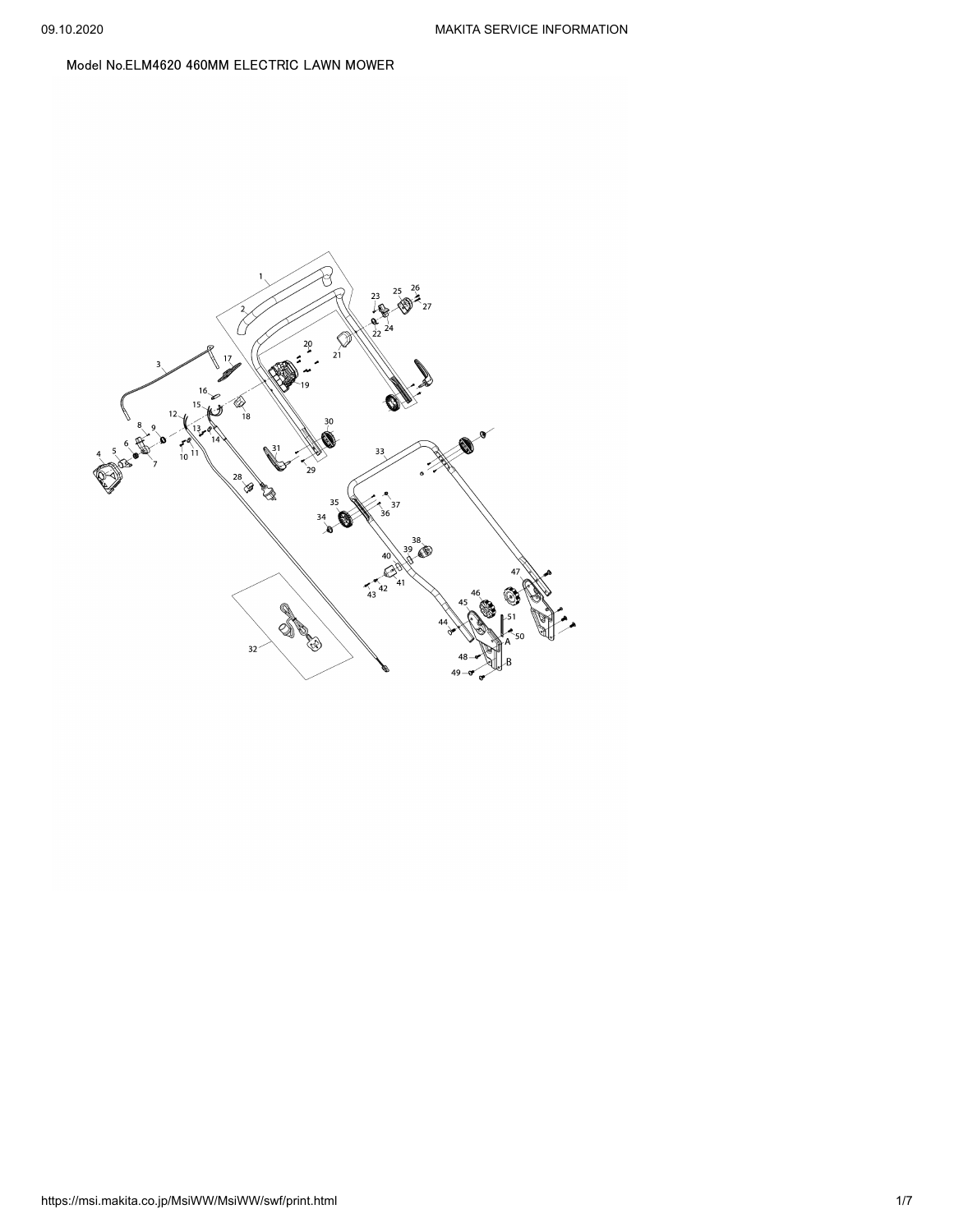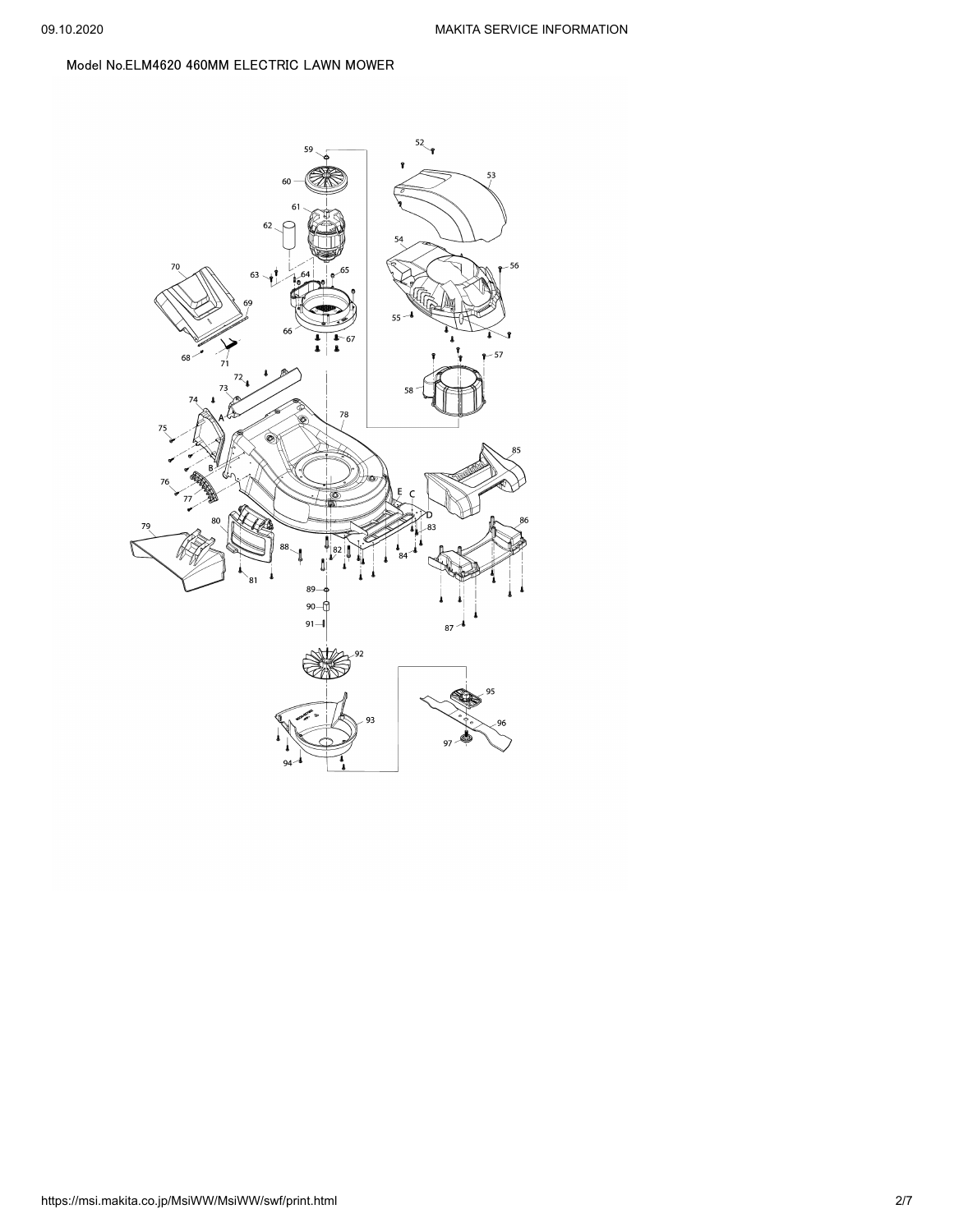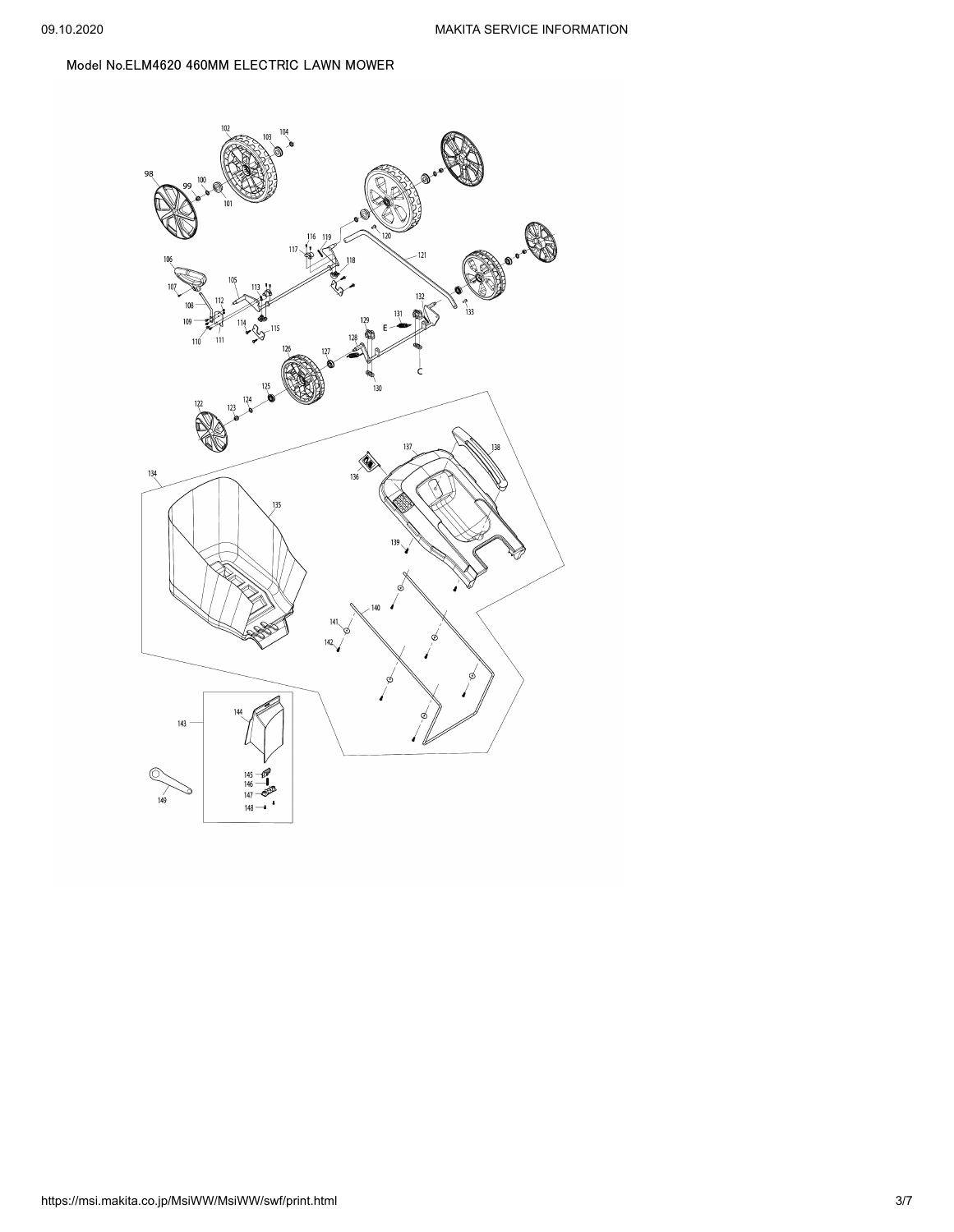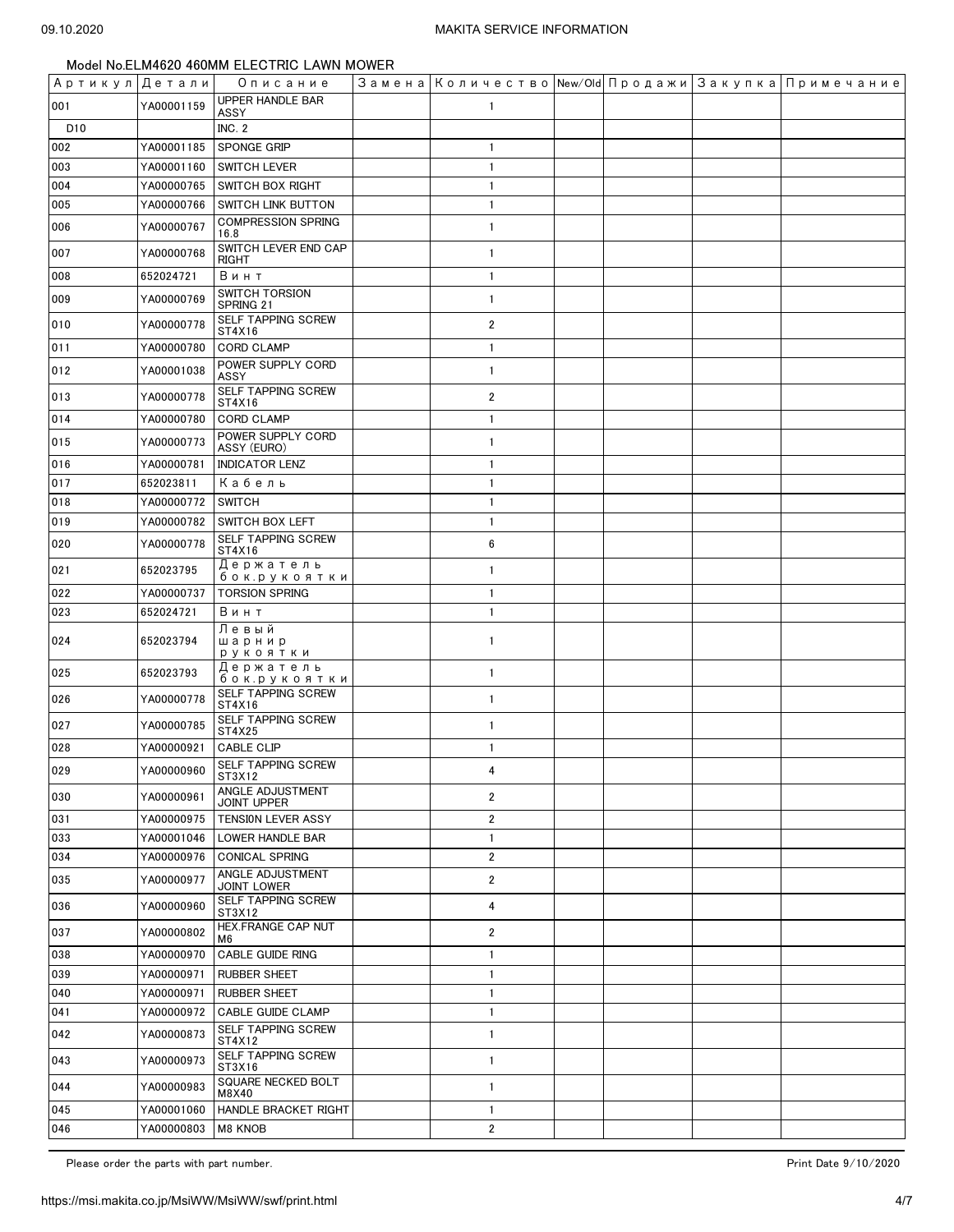| Артикул Детали |            | Описание                               | Замена   Количество   New/Old   Продажи   Закупка   Примечание |  |  |
|----------------|------------|----------------------------------------|----------------------------------------------------------------|--|--|
| 001            | YA00001159 | <b>UPPER HANDLE BAR</b><br>ASSY        | $\mathbf{1}$                                                   |  |  |
| D10            |            | <b>INC. 2</b>                          |                                                                |  |  |
| 002            | YA00001185 | SPONGE GRIP                            | $\mathbf{1}$                                                   |  |  |
| 003            | YA00001160 | <b>SWITCH LEVER</b>                    | $\mathbf{1}$                                                   |  |  |
| 004            | YA00000765 | <b>SWITCH BOX RIGHT</b>                | $\mathbf{1}$                                                   |  |  |
| 005            | YA00000766 | SWITCH LINK BUTTON                     | $\mathbf{1}$                                                   |  |  |
| 006            | YA00000767 | <b>COMPRESSION SPRING</b><br>16.8      | $\mathbf{1}$                                                   |  |  |
| 007            | YA00000768 | SWITCH LEVER END CAP<br>RIGHT          | $\mathbf{1}$                                                   |  |  |
| 008            | 652024721  | Винт                                   | $\mathbf{1}$                                                   |  |  |
| 009            | YA00000769 | <b>SWITCH TORSION</b><br>SPRING 21     | $\mathbf{1}$                                                   |  |  |
| 010            | YA00000778 | SELF TAPPING SCREW<br>ST4X16           | $\overline{2}$                                                 |  |  |
| 011            | YA00000780 | <b>CORD CLAMP</b>                      | $\mathbf{1}$                                                   |  |  |
| 012            | YA00001038 | POWER SUPPLY CORD<br>ASSY              | $\mathbf{1}$                                                   |  |  |
| 013            | YA00000778 | SELF TAPPING SCREW<br>ST4X16           | $\overline{2}$                                                 |  |  |
| 014            | YA00000780 | <b>CORD CLAMP</b>                      | $\mathbf{1}$                                                   |  |  |
| 015            | YA00000773 | POWER SUPPLY CORD<br>ASSY (EURO)       | $\mathbf{1}$                                                   |  |  |
| 016            | YA00000781 | <b>INDICATOR LENZ</b>                  | $\mathbf{1}$                                                   |  |  |
| 017            | 652023811  | Кабель                                 | $\mathbf{1}$                                                   |  |  |
| 018            | YA00000772 | SWITCH                                 | $\mathbf{1}$                                                   |  |  |
| 019            | YA00000782 | <b>SWITCH BOX LEFT</b>                 | $\mathbf{1}$                                                   |  |  |
| 020            | YA00000778 | SELF TAPPING SCREW<br>ST4X16           | 6                                                              |  |  |
| 021            | 652023795  | Держатель<br>бок.рукоятки              | $\mathbf{1}$                                                   |  |  |
| 022            | YA00000737 | <b>TORSION SPRING</b>                  | $\mathbf{1}$                                                   |  |  |
| 023            | 652024721  | Винт                                   | $\mathbf{1}$                                                   |  |  |
| 024            | 652023794  | Левый<br>шарнир<br>рукоятки            | $\mathbf{1}$                                                   |  |  |
| 025            | 652023793  | Держатель<br>бок.рукоятки              | $\mathbf{1}$                                                   |  |  |
| 026            | YA00000778 | SELF TAPPING SCREW<br>ST4X16           | $\mathbf{1}$                                                   |  |  |
| 027            | YA00000785 | SELF TAPPING SCREW<br>ST4X25           | $\mathbf{1}$                                                   |  |  |
| 028            | YA00000921 | CABLE CLIP                             | $\mathbf{1}$                                                   |  |  |
| 029            | YA00000960 | SELF TAPPING SCREW<br>ST3X12           | 4                                                              |  |  |
| 030            | YA00000961 | ANGLE ADJUSTMENT<br><b>JOINT UPPER</b> | $\overline{\mathbf{2}}$                                        |  |  |
| 031            | YA00000975 | TENSION LEVER ASSY                     | $\overline{\mathbf{2}}$                                        |  |  |
| 033            | YA00001046 | LOWER HANDLE BAR                       | $\mathbf{1}$                                                   |  |  |
| 034            | YA00000976 | <b>CONICAL SPRING</b>                  | $\overline{2}$                                                 |  |  |
| 035            | YA00000977 | ANGLE ADJUSTMENT<br><b>JOINT LOWER</b> | 2                                                              |  |  |
| 036            | YA00000960 | SELF TAPPING SCREW<br>ST3X12           | 4                                                              |  |  |
| 037            | YA00000802 | HEX.FRANGE CAP NUT<br>M6               | $\overline{2}$                                                 |  |  |
| 038            | YA00000970 | <b>CABLE GUIDE RING</b>                | 1                                                              |  |  |
| 039            | YA00000971 | RUBBER SHEET                           | 1                                                              |  |  |
| 040            | YA00000971 | <b>RUBBER SHEET</b>                    | $\mathbf{1}$                                                   |  |  |
| 041            | YA00000972 | CABLE GUIDE CLAMP                      | $\mathbf{1}$                                                   |  |  |
| 042            | YA00000873 | SELF TAPPING SCREW<br>ST4X12           | $\mathbf{1}$                                                   |  |  |
| 043            | YA00000973 | SELF TAPPING SCREW<br>ST3X16           | $\mathbf{1}$                                                   |  |  |
| 044            | YA00000983 | SQUARE NECKED BOLT<br>M8X40            | 1                                                              |  |  |
| 045            | YA00001060 | HANDLE BRACKET RIGHT                   | $\mathbf{1}$                                                   |  |  |
| 046            | YA00000803 | M8 KNOB                                | $\overline{2}$                                                 |  |  |

Please order the parts with part number. The set of the set of the set of the set of the set of the set of the set of the 9/10/2020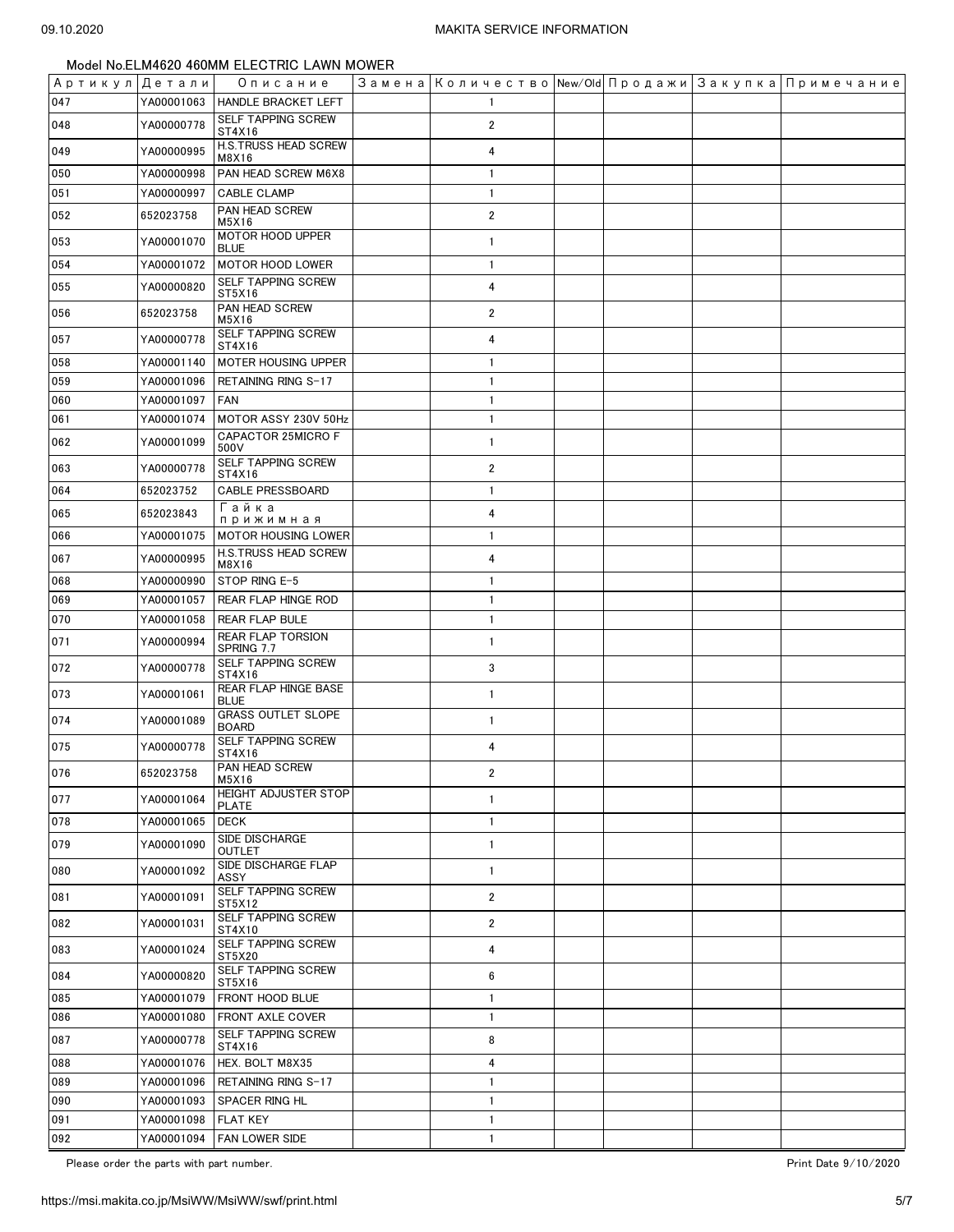| Артикул Детали |            | Описание                                  |                         |  | Замена   Количество   New/Old   Продажи   Закупка   Примечание |
|----------------|------------|-------------------------------------------|-------------------------|--|----------------------------------------------------------------|
| 047            | YA00001063 | <b>HANDLE BRACKET LEFT</b>                | $\mathbf{1}$            |  |                                                                |
| 048            | YA00000778 | SELF TAPPING SCREW<br>ST4X16              | $\overline{2}$          |  |                                                                |
| 049            | YA00000995 | H.S.TRUSS HEAD SCREW<br>M8X16             | 4                       |  |                                                                |
| 050            | YA00000998 | PAN HEAD SCREW M6X8                       | $\mathbf{1}$            |  |                                                                |
| 051            | YA00000997 | <b>CABLE CLAMP</b>                        | $\mathbf{1}$            |  |                                                                |
| 052            | 652023758  | PAN HEAD SCREW<br>M5X16                   | $\overline{2}$          |  |                                                                |
| 053            | YA00001070 | MOTOR HOOD UPPER<br><b>BLUE</b>           | $\mathbf{1}$            |  |                                                                |
| 054            | YA00001072 | <b>MOTOR HOOD LOWER</b>                   | $\overline{1}$          |  |                                                                |
| 055            | YA00000820 | SELF TAPPING SCREW<br>ST5X16              | 4                       |  |                                                                |
| 056            | 652023758  | PAN HEAD SCREW<br>M5X16                   | $\overline{2}$          |  |                                                                |
| 057            | YA00000778 | SELF TAPPING SCREW<br>ST4X16              | 4                       |  |                                                                |
| 058            | YA00001140 | MOTER HOUSING UPPER                       | $\mathbf{1}$            |  |                                                                |
| 059            | YA00001096 | RETAINING RING S-17                       | $\mathbf{1}$            |  |                                                                |
| 060            | YA00001097 | <b>FAN</b>                                | $\mathbf{1}$            |  |                                                                |
| 061            | YA00001074 | MOTOR ASSY 230V 50Hz                      | $\mathbf{1}$            |  |                                                                |
| 062            | YA00001099 | CAPACTOR 25MICRO F<br>500V                | $\mathbf{1}$            |  |                                                                |
| 063            | YA00000778 | SELF TAPPING SCREW<br>ST4X16              | $\overline{\mathbf{2}}$ |  |                                                                |
| 064            | 652023752  | <b>CABLE PRESSBOARD</b>                   | $\mathbf{1}$            |  |                                                                |
| 065            | 652023843  | Гайка<br>прижимная                        | 4                       |  |                                                                |
| 066            | YA00001075 | <b>MOTOR HOUSING LOWER</b>                | $\mathbf{1}$            |  |                                                                |
| 067            | YA00000995 | <b>H.S.TRUSS HEAD SCREW</b><br>M8X16      | 4                       |  |                                                                |
| 068            | YA00000990 | STOP RING E-5                             | $\mathbf{1}$            |  |                                                                |
| 069            | YA00001057 | REAR FLAP HINGE ROD                       | $\mathbf{1}$            |  |                                                                |
| 070            | YA00001058 | <b>REAR FLAP BULE</b>                     | $\mathbf{1}$            |  |                                                                |
| 071            | YA00000994 | REAR FLAP TORSION<br>SPRING 7.7           | $\mathbf{1}$            |  |                                                                |
| 072            | YA00000778 | SELF TAPPING SCREW<br>ST4X16              | 3                       |  |                                                                |
| 073            | YA00001061 | REAR FLAP HINGE BASE<br><b>BLUE</b>       | $\mathbf{1}$            |  |                                                                |
| 074            | YA00001089 | <b>GRASS OUTLET SLOPE</b><br><b>BOARD</b> | $\mathbf{1}$            |  |                                                                |
| 075            | YA00000778 | SELF TAPPING SCREW<br>ST4X16              | 4                       |  |                                                                |
| 076            | 652023758  | PAN HEAD SCREW<br>M5X16                   | $\mathbf{2}$            |  |                                                                |
| 077            | YA00001064 | HEIGHT ADJUSTER STOP<br>PLATE             | 1                       |  |                                                                |
| 078            | YA00001065 | <b>DECK</b>                               | $\mathbf{1}$            |  |                                                                |
| 079            | YA00001090 | <b>SIDE DISCHARGE</b><br>OUTLET           | $\mathbf{1}$            |  |                                                                |
| 080            | YA00001092 | SIDE DISCHARGE FLAP<br>ASSY               | $\mathbf{1}$            |  |                                                                |
| 081            | YA00001091 | SELF TAPPING SCREW<br>ST5X12              | $\overline{2}$          |  |                                                                |
| 082            | YA00001031 | <b>SELF TAPPING SCREW</b><br>ST4X10       | $\overline{\mathbf{2}}$ |  |                                                                |
| 083            | YA00001024 | SELF TAPPING SCREW<br>ST5X20              | 4                       |  |                                                                |
| 084            | YA00000820 | <b>SELF TAPPING SCREW</b><br>ST5X16       | 6                       |  |                                                                |
| 085            | YA00001079 | FRONT HOOD BLUE                           | $\mathbf{1}$            |  |                                                                |
| 086            | YA00001080 | FRONT AXLE COVER                          | $\mathbf{1}$            |  |                                                                |
| 087            | YA00000778 | SELF TAPPING SCREW<br>ST4X16              | 8                       |  |                                                                |
| 088            | YA00001076 | HEX. BOLT M8X35                           | 4                       |  |                                                                |
| 089            | YA00001096 | RETAINING RING S-17                       | $\mathbf{1}$            |  |                                                                |
| 090            | YA00001093 | SPACER RING HL                            | $\mathbf{1}$            |  |                                                                |
| 091            | YA00001098 | <b>FLAT KEY</b>                           | $\mathbf{1}$            |  |                                                                |
| 092            | YA00001094 | FAN LOWER SIDE                            | $\mathbf{1}$            |  |                                                                |

Please order the parts with part number. The set of the set of the set of the set of the set of the set of the set of the 9/10/2020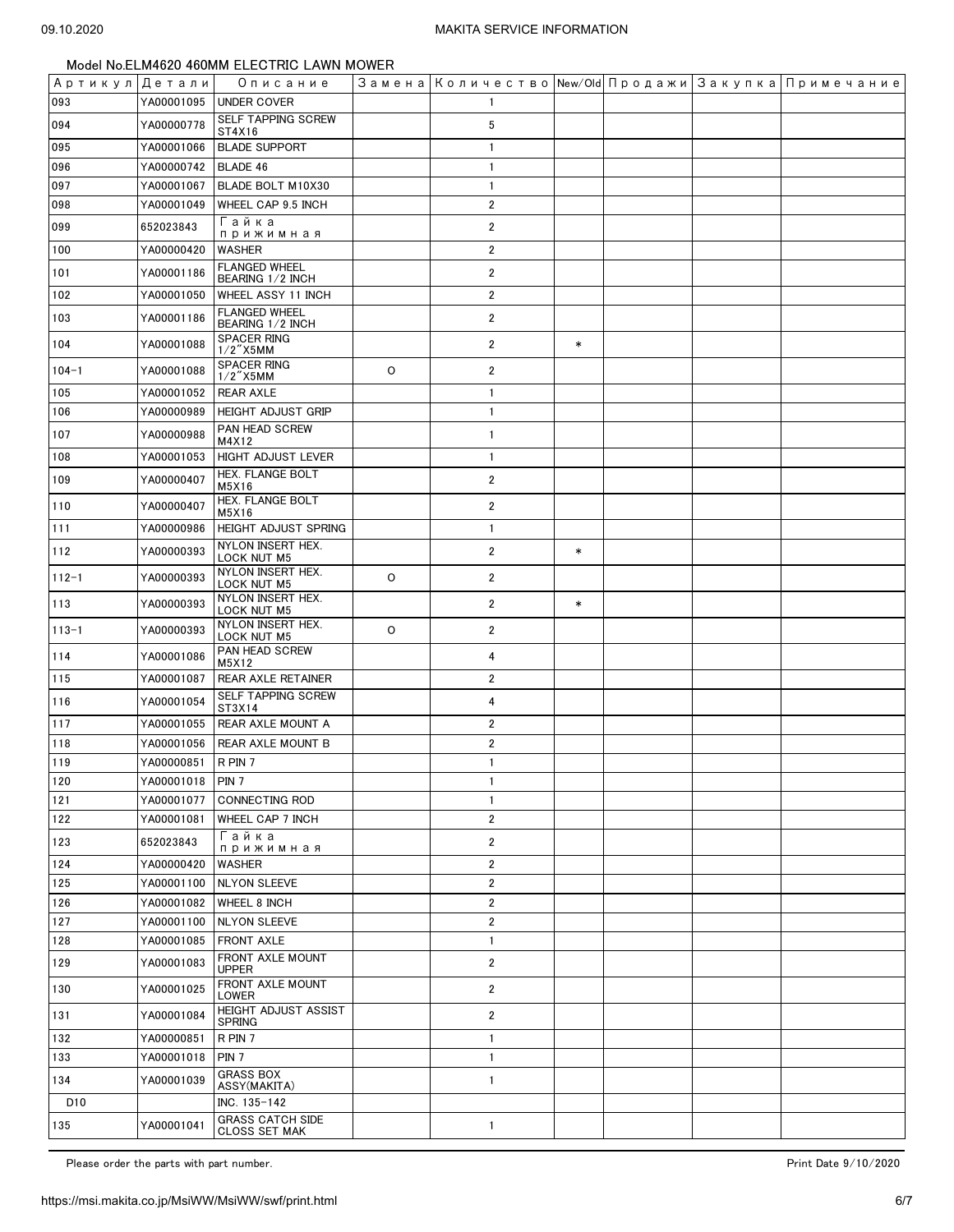| Артикул  Детали |            | Описание                                        |         |                         |        |  | Замена   Количество   New/Old   Продажи   Закупка   Примечание |
|-----------------|------------|-------------------------------------------------|---------|-------------------------|--------|--|----------------------------------------------------------------|
| 093             | YA00001095 | <b>UNDER COVER</b>                              |         | $\mathbf{1}$            |        |  |                                                                |
| 094             | YA00000778 | <b>SELF TAPPING SCREW</b><br>ST4X16             |         | 5                       |        |  |                                                                |
| 095             | YA00001066 | <b>BLADE SUPPORT</b>                            |         | $\mathbf{1}$            |        |  |                                                                |
| 096             | YA00000742 | <b>BLADE 46</b>                                 |         | $\mathbf{1}$            |        |  |                                                                |
| 097             | YA00001067 | BLADE BOLT M10X30                               |         | $\mathbf{1}$            |        |  |                                                                |
| 098             | YA00001049 | WHEEL CAP 9.5 INCH                              |         | $\overline{2}$          |        |  |                                                                |
| 099             | 652023843  | Гайка<br>прижимная                              |         | $\overline{2}$          |        |  |                                                                |
| 100             | YA00000420 | <b>WASHER</b>                                   |         | $\overline{2}$          |        |  |                                                                |
| 101             | YA00001186 | <b>FLANGED WHEEL</b>                            |         | $\overline{2}$          |        |  |                                                                |
| 102             | YA00001050 | BEARING 1/2 INCH<br>WHEEL ASSY 11 INCH          |         | $\overline{2}$          |        |  |                                                                |
| 103             | YA00001186 | <b>FLANGED WHEEL</b>                            |         | $\overline{2}$          |        |  |                                                                |
|                 |            | BEARING 1/2 INCH<br><b>SPACER RING</b>          |         |                         |        |  |                                                                |
| 104             | YA00001088 | $1/2$ "X5MM                                     |         | $\overline{2}$          | $\ast$ |  |                                                                |
| $104 - 1$       | YA00001088 | SPACER RING<br>$1/2$ "X5MM                      | $\circ$ | $\overline{2}$          |        |  |                                                                |
| 105             | YA00001052 | <b>REAR AXLE</b>                                |         | $\mathbf{1}$            |        |  |                                                                |
| 106             | YA00000989 | HEIGHT ADJUST GRIP                              |         | $\mathbf{1}$            |        |  |                                                                |
| 107             | YA00000988 | PAN HEAD SCREW                                  |         | $\mathbf{1}$            |        |  |                                                                |
| 108             | YA00001053 | M4X12<br><b>HIGHT ADJUST LEVER</b>              |         | $\mathbf{1}$            |        |  |                                                                |
| 109             | YA00000407 | HEX. FLANGE BOLT                                |         | $\overline{2}$          |        |  |                                                                |
|                 |            | M5X16<br>HEX. FLANGE BOLT                       |         |                         |        |  |                                                                |
| 110             | YA00000407 | M5X16                                           |         | $\overline{2}$          |        |  |                                                                |
| 111             | YA00000986 | HEIGHT ADJUST SPRING                            |         | $\mathbf{1}$            |        |  |                                                                |
| 112             | YA00000393 | NYLON INSERT HEX.<br><b>LOCK NUT M5</b>         |         | $\overline{2}$          | $\ast$ |  |                                                                |
| $112 - 1$       | YA00000393 | NYLON INSERT HEX.<br><b>LOCK NUT M5</b>         | O       | $\overline{2}$          |        |  |                                                                |
| 113             | YA00000393 | NYLON INSERT HEX.<br>LOCK NUT M5                |         | $\overline{2}$          | $\ast$ |  |                                                                |
| $113 - 1$       | YA00000393 | NYLON INSERT HEX.<br>LOCK NUT M5                | $\circ$ | $\overline{2}$          |        |  |                                                                |
| 114             | YA00001086 | PAN HEAD SCREW<br>M5X12                         |         | 4                       |        |  |                                                                |
| 115             | YA00001087 | REAR AXLE RETAINER                              |         | $\overline{2}$          |        |  |                                                                |
| 116             | YA00001054 | SELF TAPPING SCREW<br>ST3X14                    |         | 4                       |        |  |                                                                |
| 117             | YA00001055 | REAR AXLE MOUNT A                               |         | $\overline{2}$          |        |  |                                                                |
| 118             | YA00001056 | REAR AXLE MOUNT B                               |         | $\overline{2}$          |        |  |                                                                |
| 119             | YA00000851 | R PIN 7                                         |         | $\mathbf{1}$            |        |  |                                                                |
| 120             | YA00001018 | PIN <sub>7</sub>                                |         | $\mathbf{1}$            |        |  |                                                                |
| 121             | YA00001077 | <b>CONNECTING ROD</b>                           |         | $\mathbf{1}$            |        |  |                                                                |
| 122             | YA00001081 | WHEEL CAP 7 INCH                                |         | $\overline{2}$          |        |  |                                                                |
| 123             | 652023843  | Гайка<br>прижимная                              |         | $\overline{2}$          |        |  |                                                                |
| 124             | YA00000420 | <b>WASHER</b>                                   |         | $\overline{\mathbf{c}}$ |        |  |                                                                |
| 125             | YA00001100 | <b>NLYON SLEEVE</b>                             |         | $\overline{2}$          |        |  |                                                                |
| 126             | YA00001082 | WHEEL 8 INCH                                    |         | $\overline{2}$          |        |  |                                                                |
| 127             | YA00001100 | <b>NLYON SLEEVE</b>                             |         | $\overline{2}$          |        |  |                                                                |
| 128             | YA00001085 | <b>FRONT AXLE</b>                               |         | $\mathbf{1}$            |        |  |                                                                |
| 129             | YA00001083 | FRONT AXLE MOUNT<br><b>UPPER</b>                |         | $\overline{2}$          |        |  |                                                                |
| 130             | YA00001025 | FRONT AXLE MOUNT<br>LOWER                       |         | $\overline{2}$          |        |  |                                                                |
| 131             | YA00001084 | <b>HEIGHT ADJUST ASSIST</b><br><b>SPRING</b>    |         | $\overline{2}$          |        |  |                                                                |
| 132             | YA00000851 | R PIN 7                                         |         | $\mathbf{1}$            |        |  |                                                                |
| 133             | YA00001018 | PIN <sub>7</sub>                                |         | $\mathbf{1}$            |        |  |                                                                |
| 134             | YA00001039 | <b>GRASS BOX</b><br>ASSY(MAKITA)                |         | $\mathbf{1}$            |        |  |                                                                |
| D <sub>10</sub> |            | INC. 135-142                                    |         |                         |        |  |                                                                |
| 135             | YA00001041 | <b>GRASS CATCH SIDE</b><br><b>CLOSS SET MAK</b> |         | $\mathbf{1}$            |        |  |                                                                |

Please order the parts with part number. The set of the set of the set of the set of the set of the set of the set of the 9/10/2020